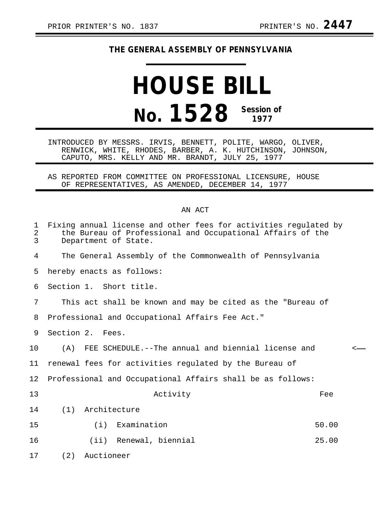## **THE GENERAL ASSEMBLY OF PENNSYLVANIA**

## **HOUSE BILL No. 1528 Session of 1977**

INTRODUCED BY MESSRS. IRVIS, BENNETT, POLITE, WARGO, OLIVER, RENWICK, WHITE, RHODES, BARBER, A. K. HUTCHINSON, JOHNSON, CAPUTO, MRS. KELLY AND MR. BRANDT, JULY 25, 1977

AS REPORTED FROM COMMITTEE ON PROFESSIONAL LICENSURE, HOUSE OF REPRESENTATIVES, AS AMENDED, DECEMBER 14, 1977

## AN ACT

| 1<br>$\overline{a}$<br>$\overline{3}$ | Fixing annual license and other fees for activities regulated by<br>the Bureau of Professional and Occupational Affairs of the<br>Department of State. |              |
|---------------------------------------|--------------------------------------------------------------------------------------------------------------------------------------------------------|--------------|
| 4                                     | The General Assembly of the Commonwealth of Pennsylvania                                                                                               |              |
| 5                                     | hereby enacts as follows:                                                                                                                              |              |
| 6                                     | Section 1. Short title.                                                                                                                                |              |
| 7                                     | This act shall be known and may be cited as the "Bureau of                                                                                             |              |
| 8                                     | Professional and Occupational Affairs Fee Act."                                                                                                        |              |
| 9                                     | Section 2. Fees.                                                                                                                                       |              |
| 10                                    | (A) FEE SCHEDULE.--The annual and biennial license and                                                                                                 | $\leftarrow$ |
| 11                                    | renewal fees for activities regulated by the Bureau of                                                                                                 |              |
| 12                                    | Professional and Occupational Affairs shall be as follows:                                                                                             |              |
| 13                                    | Activity<br>Fee                                                                                                                                        |              |
| 14                                    | Architecture<br>(1)                                                                                                                                    |              |
| 15                                    | (i) Examination<br>50.00                                                                                                                               |              |
| 16                                    | (ii) Renewal, biennial<br>25.00                                                                                                                        |              |
| 17                                    | Auctioneer<br>(2)                                                                                                                                      |              |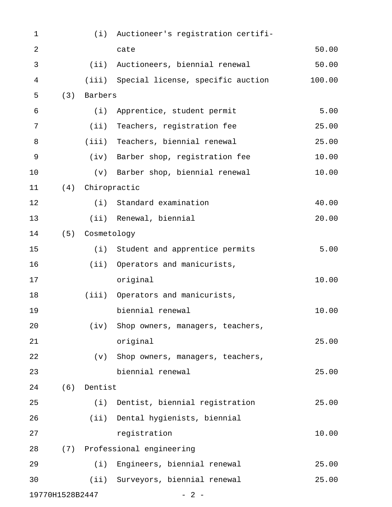| $\mathbf 1$     |     |                  | (i) Auctioneer's registration certifi-  |        |
|-----------------|-----|------------------|-----------------------------------------|--------|
| $\overline{2}$  |     |                  | cate                                    | 50.00  |
| $\mathfrak{Z}$  |     |                  | (ii) Auctioneers, biennial renewal      | 50.00  |
| 4               |     |                  | (iii) Special license, specific auction | 100.00 |
| 5               | (3) | Barbers          |                                         |        |
| 6               |     |                  | (i) Apprentice, student permit          | 5.00   |
| 7               |     | (i)              | Teachers, registration fee              | 25.00  |
| $\, 8$          |     |                  | (iii) Teachers, biennial renewal        | 25.00  |
| $\mathsf 9$     |     |                  | (iv) Barber shop, registration fee      | 10.00  |
| 10              |     |                  | (v) Barber shop, biennial renewal       | 10.00  |
| 11              |     | (4) Chiropractic |                                         |        |
| 12              |     |                  | (i) Standard examination                | 40.00  |
| 13              |     |                  | (ii) Renewal, biennial                  | 20.00  |
| 14              |     | (5) Cosmetology  |                                         |        |
| 15              |     |                  | (i) Student and apprentice permits      | 5.00   |
| 16              |     |                  | (ii) Operators and manicurists,         |        |
| 17              |     |                  | original                                | 10.00  |
| 18              |     |                  | (iii) Operators and manicurists,        |        |
| 19              |     |                  | biennial renewal                        | 10.00  |
| 20              |     | (iv)             | Shop owners, managers, teachers,        |        |
| 21              |     |                  | original                                | 25.00  |
| 22              |     | (v)              | Shop owners, managers, teachers,        |        |
| 23              |     |                  | biennial renewal                        | 25.00  |
| 24              | (6) | Dentist          |                                         |        |
| 25              |     | (i)              | Dentist, biennial registration          | 25.00  |
| 26              |     |                  | (ii) Dental hygienists, biennial        |        |
| 27              |     |                  | registration                            | 10.00  |
| 28              |     |                  | (7) Professional engineering            |        |
| 29              |     |                  | (i) Engineers, biennial renewal         | 25.00  |
| 30              |     |                  | (ii) Surveyors, biennial renewal        | 25.00  |
| 19770H1528B2447 |     |                  | $-2-$                                   |        |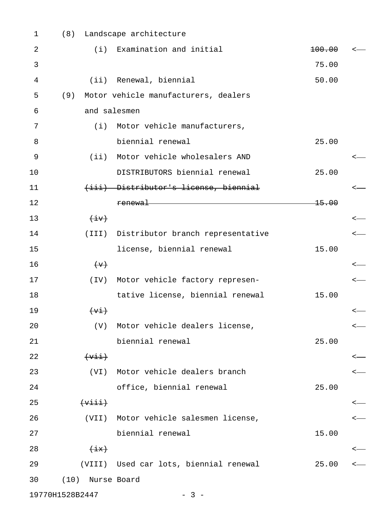| $\mathbf 1$ | (8)                           | Landscape architecture                                                 |                   |  |
|-------------|-------------------------------|------------------------------------------------------------------------|-------------------|--|
| 2           | (i)                           | Examination and initial                                                | <del>100.00</del> |  |
| 3           |                               |                                                                        | 75.00             |  |
| 4           | (iii)                         | Renewal, biennial                                                      | 50.00             |  |
| 5           | (9)                           | Motor vehicle manufacturers, dealers                                   |                   |  |
| 6           | and salesmen                  |                                                                        |                   |  |
| 7           |                               | (i) Motor vehicle manufacturers,                                       |                   |  |
| 8           |                               | biennial renewal                                                       | 25.00             |  |
| 9           |                               | (ii) Motor vehicle wholesalers AND                                     |                   |  |
| 10          |                               | DISTRIBUTORS biennial renewal                                          | 25.00             |  |
| 11          |                               | (iii) Distributor's license, biennial                                  |                   |  |
| 12          |                               | <u> 1989 - Johann Stoff, Amerikaansk politiker († 1908)</u><br>renewal | <del>15.00</del>  |  |
| 13          | $\overline{(+\frac{1}{2}+)}$  |                                                                        |                   |  |
| 14          |                               | (III) Distributor branch representative                                |                   |  |
| 15          |                               | license, biennial renewal                                              | 15.00             |  |
| 16          | $\leftarrow$                  |                                                                        |                   |  |
| 17          | (TV)                          | Motor vehicle factory represen-                                        |                   |  |
| 18          |                               | tative license, biennial renewal                                       | 15.00             |  |
| 19          | $(+\text{v+})$                |                                                                        |                   |  |
| 20          |                               | (V) Motor vehicle dealers license,                                     |                   |  |
| 21          |                               | biennial renewal                                                       | 25.00             |  |
| 22          | $(+\text{vii})$               |                                                                        |                   |  |
| 23          | (VI)                          | Motor vehicle dealers branch                                           |                   |  |
| 24          |                               | office, biennial renewal                                               | 25.00             |  |
| 25          | $\overline{(+\vee i\vee i+)}$ |                                                                        |                   |  |
| 26          | (VII)                         | Motor vehicle salesmen license,                                        |                   |  |
| 27          |                               | biennial renewal                                                       | 15.00             |  |
| 28          | $\overline{+i}$               |                                                                        |                   |  |
| 29          |                               | (VIII) Used car lots, biennial renewal                                 | 25.00             |  |
| 30          | (10)                          | Nurse Board                                                            |                   |  |
|             | 19770H1528B2447               | $-3-$                                                                  |                   |  |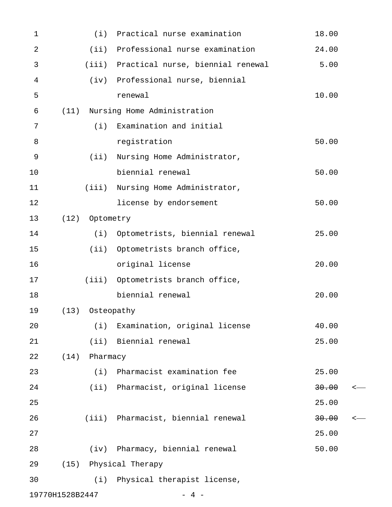| $\mathbf{1}$    |      |            | (i) Practical nurse examination         | 18.00 |
|-----------------|------|------------|-----------------------------------------|-------|
| 2               |      | $(i$ i)    | Professional nurse examination          | 24.00 |
| 3               |      |            | (iii) Practical nurse, biennial renewal | 5.00  |
| $\overline{4}$  |      |            | (iv) Professional nurse, biennial       |       |
| 5               |      |            | renewal                                 | 10.00 |
| 6               | (11) |            | Nursing Home Administration             |       |
| 7               |      | (i)        | Examination and initial                 |       |
| 8               |      |            | registration                            | 50.00 |
| 9               |      | (iii)      | Nursing Home Administrator,             |       |
| 10              |      |            | biennial renewal                        | 50.00 |
| 11              |      | (iii)      | Nursing Home Administrator,             |       |
| 12              |      |            | license by endorsement                  | 50.00 |
| 13              | (12) | Optometry  |                                         |       |
| 14              |      | (i)        | Optometrists, biennial renewal          | 25.00 |
| 15              |      | (ii)       | Optometrists branch office,             |       |
| 16              |      |            | original license                        | 20.00 |
| 17              |      |            | (iii) Optometrists branch office,       |       |
| 18              |      |            | biennial renewal                        | 20.00 |
| 19              | (13) | Osteopathy |                                         |       |
| 20              |      |            | (i) Examination, original license       | 40.00 |
| 21              |      |            | (ii) Biennial renewal                   | 25.00 |
| 22              | (14) | Pharmacy   |                                         |       |
| 23              |      | (i)        | Pharmacist examination fee              | 25.00 |
| 24              |      |            | (ii) Pharmacist, original license       | 30.00 |
| 25              |      |            |                                         | 25.00 |
| 26              |      |            | (iii) Pharmacist, biennial renewal      | 30.00 |
| 27              |      |            |                                         | 25.00 |
| 28              |      | (iv)       | Pharmacy, biennial renewal              | 50.00 |
| 29              | (15) |            | Physical Therapy                        |       |
| 30              |      |            | (i) Physical therapist license,         |       |
| 19770H1528B2447 |      |            | $\overline{4}$                          |       |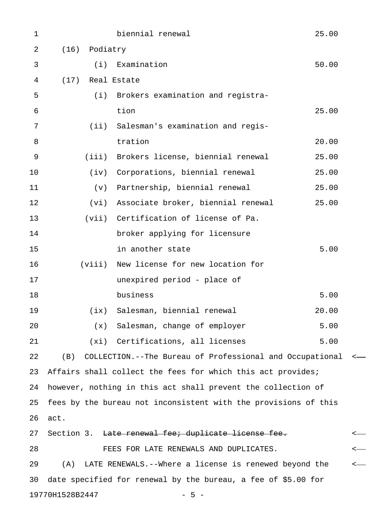| $\mathbf 1$ |                  | biennial renewal                                                | 25.00 |         |
|-------------|------------------|-----------------------------------------------------------------|-------|---------|
| 2           | Podiatry<br>(16) |                                                                 |       |         |
| 3           | (i)              | Examination                                                     | 50.00 |         |
| 4           | (17) Real Estate |                                                                 |       |         |
| 5           | (i)              | Brokers examination and registra-                               |       |         |
| 6           |                  | tion                                                            | 25.00 |         |
| 7           | $(i$ i)          | Salesman's examination and regis-                               |       |         |
| 8           |                  | tration                                                         | 20.00 |         |
| 9           | (iii)            | Brokers license, biennial renewal                               | 25.00 |         |
| 10          | (iv)             | Corporations, biennial renewal                                  | 25.00 |         |
| 11          | (v)              | Partnership, biennial renewal                                   | 25.00 |         |
| 12          | (vi)             | Associate broker, biennial renewal                              | 25.00 |         |
| 13          |                  | (vii) Certification of license of Pa.                           |       |         |
| 14          |                  | broker applying for licensure                                   |       |         |
| 15          |                  | in another state                                                | 5.00  |         |
| 16          | (viii)           | New license for new location for                                |       |         |
| 17          |                  | unexpired period - place of                                     |       |         |
| 18          |                  | business                                                        | 5.00  |         |
| 19          | (ix)             | Salesman, biennial renewal                                      | 20.00 |         |
| 20          |                  | (x) Salesman, change of employer                                | 5.00  |         |
| 21          |                  | (xi) Certifications, all licenses                               | 5.00  |         |
| 22          | (B)              | COLLECTION.--The Bureau of Professional and Occupational <      |       |         |
| 23          |                  | Affairs shall collect the fees for which this act provides;     |       |         |
| 24          |                  | however, nothing in this act shall prevent the collection of    |       |         |
| 25          |                  | fees by the bureau not inconsistent with the provisions of this |       |         |
| 26          | act.             |                                                                 |       |         |
| 27          |                  | Section 3. <del>Late renewal fee; duplicate license fee.</del>  |       | $\,<\,$ |
| 28          |                  | FEES FOR LATE RENEWALS AND DUPLICATES.                          |       | $\,<$   |
| 29          | (A)              | LATE RENEWALS. --Where a license is renewed beyond the          |       | $\,<\,$ |
| 30          |                  | date specified for renewal by the bureau, a fee of \$5.00 for   |       |         |
|             | 19770H1528B2447  | $-5 -$                                                          |       |         |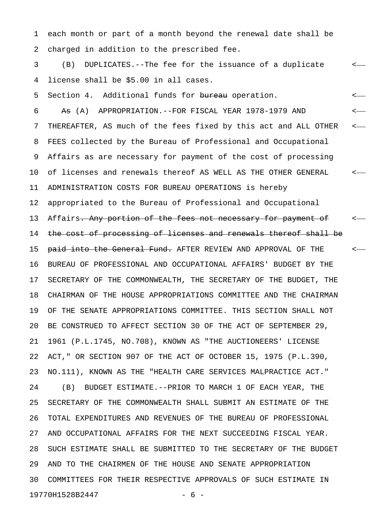1 each month or part of a month beyond the renewal date shall be 2 charged in addition to the prescribed fee.

3 (B) DUPLICATES.--The fee for the issuance of a duplicate < 4 license shall be \$5.00 in all cases.

5 Section 4. Additional funds for bureau operation.  $\leftarrow$ 

6 As (A) APPROPRIATION.--FOR FISCAL YEAR 1978-1979 AND  $\leftarrow$ 7 THEREAFTER, AS much of the fees fixed by this act and ALL OTHER < 8 FEES collected by the Bureau of Professional and Occupational 9 Affairs as are necessary for payment of the cost of processing 10 of licenses and renewals thereof AS WELL AS THE OTHER GENERAL < 11 ADMINISTRATION COSTS FOR BUREAU OPERATIONS is hereby 12 appropriated to the Bureau of Professional and Occupational 13 Affairs. Any portion of the fees not necessary for payment of  $\sim$ 14 the cost of processing of licenses and renewals thereof shall be 15 <del>paid into the General Fund.</del> AFTER REVIEW AND APPROVAL OF THE  $\sim$ 16 BUREAU OF PROFESSIONAL AND OCCUPATIONAL AFFAIRS' BUDGET BY THE 17 SECRETARY OF THE COMMONWEALTH, THE SECRETARY OF THE BUDGET, THE 18 CHAIRMAN OF THE HOUSE APPROPRIATIONS COMMITTEE AND THE CHAIRMAN 19 OF THE SENATE APPROPRIATIONS COMMITTEE. THIS SECTION SHALL NOT 20 BE CONSTRUED TO AFFECT SECTION 30 OF THE ACT OF SEPTEMBER 29, 21 1961 (P.L.1745, NO.708), KNOWN AS "THE AUCTIONEERS' LICENSE 22 ACT," OR SECTION 907 OF THE ACT OF OCTOBER 15, 1975 (P.L.390, 23 NO.111), KNOWN AS THE "HEALTH CARE SERVICES MALPRACTICE ACT." 24 (B) BUDGET ESTIMATE.--PRIOR TO MARCH 1 OF EACH YEAR, THE 25 SECRETARY OF THE COMMONWEALTH SHALL SUBMIT AN ESTIMATE OF THE 26 TOTAL EXPENDITURES AND REVENUES OF THE BUREAU OF PROFESSIONAL 27 AND OCCUPATIONAL AFFAIRS FOR THE NEXT SUCCEEDING FISCAL YEAR. 28 SUCH ESTIMATE SHALL BE SUBMITTED TO THE SECRETARY OF THE BUDGET 29 AND TO THE CHAIRMEN OF THE HOUSE AND SENATE APPROPRIATION 30 COMMITTEES FOR THEIR RESPECTIVE APPROVALS OF SUCH ESTIMATE IN 19770H1528B2447 - 6 -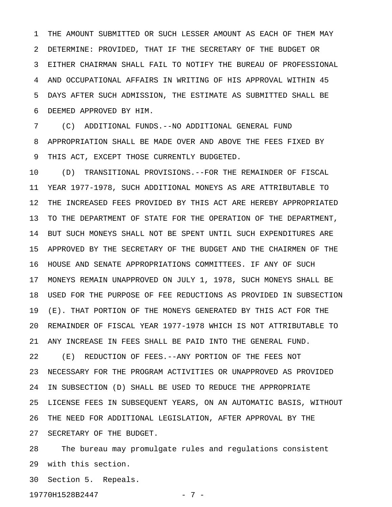1 THE AMOUNT SUBMITTED OR SUCH LESSER AMOUNT AS EACH OF THEM MAY 2 DETERMINE: PROVIDED, THAT IF THE SECRETARY OF THE BUDGET OR 3 EITHER CHAIRMAN SHALL FAIL TO NOTIFY THE BUREAU OF PROFESSIONAL 4 AND OCCUPATIONAL AFFAIRS IN WRITING OF HIS APPROVAL WITHIN 45 5 DAYS AFTER SUCH ADMISSION, THE ESTIMATE AS SUBMITTED SHALL BE 6 DEEMED APPROVED BY HIM.

7 (C) ADDITIONAL FUNDS.--NO ADDITIONAL GENERAL FUND 8 APPROPRIATION SHALL BE MADE OVER AND ABOVE THE FEES FIXED BY 9 THIS ACT, EXCEPT THOSE CURRENTLY BUDGETED.

10 (D) TRANSITIONAL PROVISIONS.--FOR THE REMAINDER OF FISCAL 11 YEAR 1977-1978, SUCH ADDITIONAL MONEYS AS ARE ATTRIBUTABLE TO 12 THE INCREASED FEES PROVIDED BY THIS ACT ARE HEREBY APPROPRIATED 13 TO THE DEPARTMENT OF STATE FOR THE OPERATION OF THE DEPARTMENT, 14 BUT SUCH MONEYS SHALL NOT BE SPENT UNTIL SUCH EXPENDITURES ARE 15 APPROVED BY THE SECRETARY OF THE BUDGET AND THE CHAIRMEN OF THE 16 HOUSE AND SENATE APPROPRIATIONS COMMITTEES. IF ANY OF SUCH 17 MONEYS REMAIN UNAPPROVED ON JULY 1, 1978, SUCH MONEYS SHALL BE 18 USED FOR THE PURPOSE OF FEE REDUCTIONS AS PROVIDED IN SUBSECTION 19 (E). THAT PORTION OF THE MONEYS GENERATED BY THIS ACT FOR THE 20 REMAINDER OF FISCAL YEAR 1977-1978 WHICH IS NOT ATTRIBUTABLE TO 21 ANY INCREASE IN FEES SHALL BE PAID INTO THE GENERAL FUND. 22 (E) REDUCTION OF FEES.--ANY PORTION OF THE FEES NOT 23 NECESSARY FOR THE PROGRAM ACTIVITIES OR UNAPPROVED AS PROVIDED 24 IN SUBSECTION (D) SHALL BE USED TO REDUCE THE APPROPRIATE 25 LICENSE FEES IN SUBSEQUENT YEARS, ON AN AUTOMATIC BASIS, WITHOUT 26 THE NEED FOR ADDITIONAL LEGISLATION, AFTER APPROVAL BY THE

27 SECRETARY OF THE BUDGET.

28 The bureau may promulgate rules and regulations consistent 29 with this section.

30 Section 5. Repeals.

19770H1528B2447 - 7 -